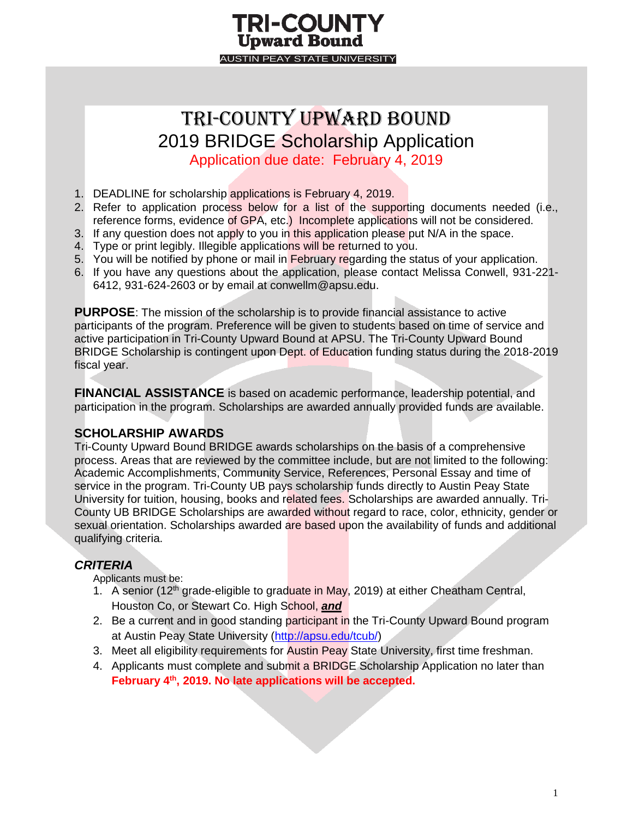#### **TRI-COUNTY Upward Bound AUSTIN PEAY STATE UNIVERSITY**

### Tri-County Upward bound 2019 BRIDGE Scholarship Application

Application due date: February 4, 2019

- 1. DEADLINE for scholarship applications is February 4, 2019.
- 2. Refer to application process below for a list of the supporting documents needed (i.e., reference forms, evidence of GPA, etc.) Incomplete applications will not be considered.
- 3. If any question does not apply to you in this application please put N/A in the space.
- 4. Type or print legibly. Illegible applications will be returned to you.
- 5. You will be notified by phone or mail in February regarding the status of your application.
- 6. If you have any questions about the application, please contact Melissa Conwell, 931-221- 6412, 931-624-2603 or by email at conwellm@apsu.edu.

**PURPOSE**: The mission of the scholarship is to provide financial assistance to active participants of the program. Preference will be given to students based on time of service and active participation in Tri-County Upward Bound at APSU. The Tri-County Upward Bound BRIDGE Scholarship is contingent upon Dept. of Education funding status during the 2018-2019 fiscal year.

**FINANCIAL ASSISTANCE** is based on academic performance, leadership potential, and participation in the program. Scholarships are awarded annually provided funds are available.

#### **SCHOLARSHIP AWARDS**

Tri-County Upward Bound BRIDGE awards scholarships on the basis of a comprehensive process. Areas that are reviewed by the committee include, but are not limited to the following: Academic Accomplishments, Community Service, References, Personal Essay and time of service in the program. Tri-County UB pays scholarship funds directly to Austin Peay State University for tuition, housing, books and related fees. Scholarships are awarded annually. Tri-County UB BRIDGE Scholarships are awarded without regard to race, color, ethnicity, gender or sexual orientation. Scholarships awarded are based upon the availability of funds and additional qualifying criteria.

#### *CRITERIA*

Applicants must be:

- 1. A senior (12<sup>th</sup> grade-eligible to graduate in May, 2019) at either Cheatham Central, Houston Co, or Stewart Co. High School, *and*
- 2. Be a current and in good standing participant in the Tri-County Upward Bound program at Austin Peay State University [\(http://apsu.edu/tcub/\)](http://apsu.edu/tcub/)
- 3. Meet all eligibility requirements for Austin Peay State University, first time freshman.
- 4. Applicants must complete and submit a BRIDGE Scholarship Application no later than **February 4th , 2019. No late applications will be accepted.**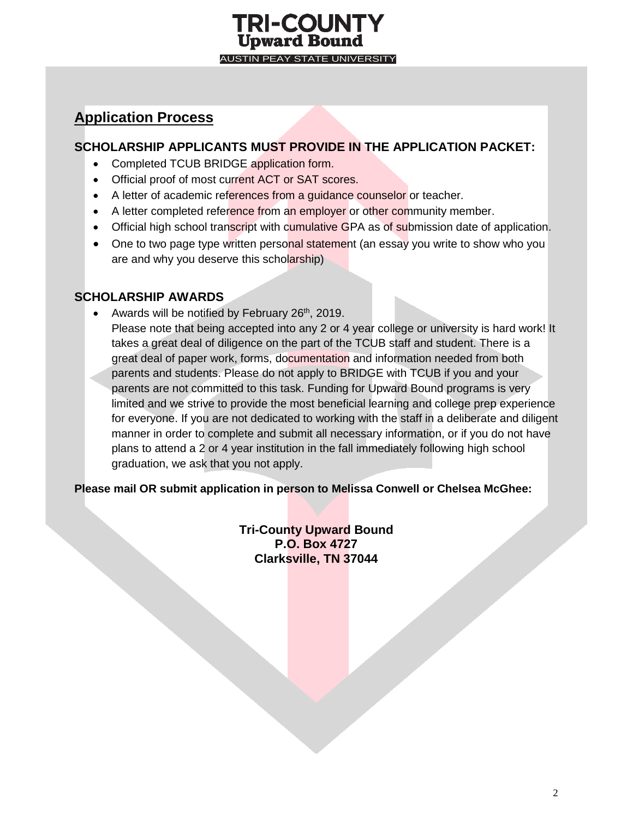#### **TRI-COUNTY Upward Bound AUSTIN PEAY STATE UNIVERSITY**

#### **Application Process**

#### **SCHOLARSHIP APPLICANTS MUST PROVIDE IN THE APPLICATION PACKET:**

- Completed TCUB BRIDGE application form.
- Official proof of most current ACT or SAT scores.
- A letter of academic references from a quidance counselor or teacher.
- A letter completed reference from an employer or other community member.
- Official high school transcript with cumulative GPA as of submission date of application.
- One to two page type written personal statement (an essay you write to show who you are and why you deserve this scholarship)

#### **SCHOLARSHIP AWARDS**

• Awards will be notified by February  $26<sup>th</sup>$ , 2019. Please note that being accepted into any 2 or 4 year college or university is hard work! It takes a great deal of diligence on the part of the TCUB staff and student. There is a great deal of paper work, forms, documentation and information needed from both parents and students. Please do not apply to BRIDGE with TCUB if you and your parents are not committed to this task. Funding for Upward Bound programs is very limited and we strive to provide the most beneficial learning and college prep experience for everyone. If you are not dedicated to working with the staff in a deliberate and diligent manner in order to complete and submit all necessary information, or if you do not have plans to attend a 2 or 4 year institution in the fall immediately following high school graduation, we ask that you not apply.

**Please mail OR submit application in person to Melissa Conwell or Chelsea McGhee:**

**Tri-County Upward Bound P.O. Box 4727 Clarksville, TN 37044**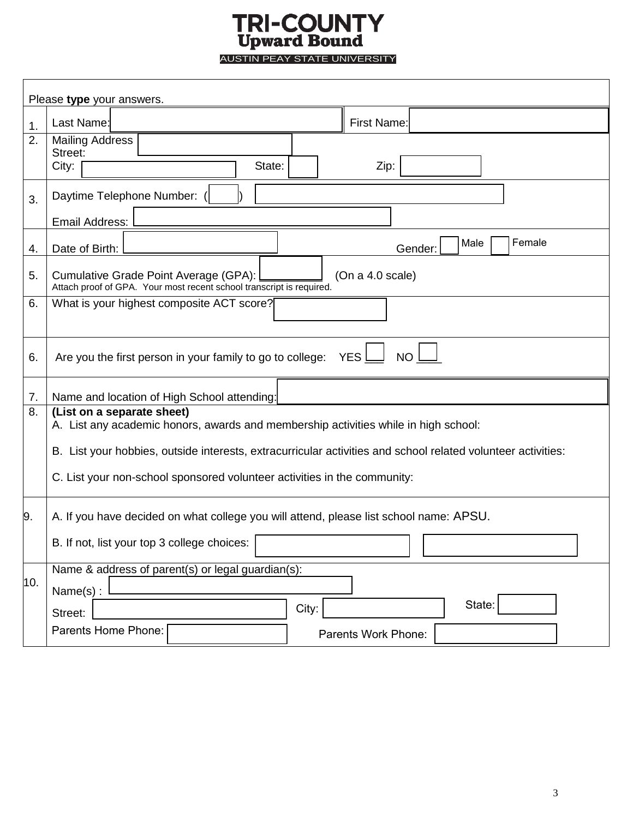# **TRI-COUNTY**<br>Upward Bound<br>AUSTIN PEAY STATE UNIVERSITY

|     | Please type your answers.                                                                                                         |  |  |
|-----|-----------------------------------------------------------------------------------------------------------------------------------|--|--|
| 1.  | Last Name:<br>First Name:                                                                                                         |  |  |
| 2.  | <b>Mailing Address</b><br>Street:<br>City:<br>State:<br>Zip:                                                                      |  |  |
| 3.  | Daytime Telephone Number:<br>Email Address:                                                                                       |  |  |
| 4.  | Female<br>Male<br>Date of Birth:<br>Gender:                                                                                       |  |  |
| 5.  | Cumulative Grade Point Average (GPA):<br>(On a 4.0 scale)<br>Attach proof of GPA. Your most recent school transcript is required. |  |  |
| 6.  | What is your highest composite ACT score?                                                                                         |  |  |
| 6.  | YES <sup>I</sup><br>Are you the first person in your family to go to college:<br><b>NO</b>                                        |  |  |
| 7.  | Name and location of High School attending:                                                                                       |  |  |
| 8.  | (List on a separate sheet)<br>A. List any academic honors, awards and membership activities while in high school:                 |  |  |
|     | B. List your hobbies, outside interests, extracurricular activities and school related volunteer activities:                      |  |  |
|     | C. List your non-school sponsored volunteer activities in the community:                                                          |  |  |
| 9.  | A. If you have decided on what college you will attend, please list school name: APSU.                                            |  |  |
|     | B. If not, list your top 3 college choices:                                                                                       |  |  |
| 10. | Name & address of parent(s) or legal guardian(s):                                                                                 |  |  |
|     | Name(s):<br>State:<br>City:<br>Street:                                                                                            |  |  |
|     | Parents Home Phone:<br>Parents Work Phone:                                                                                        |  |  |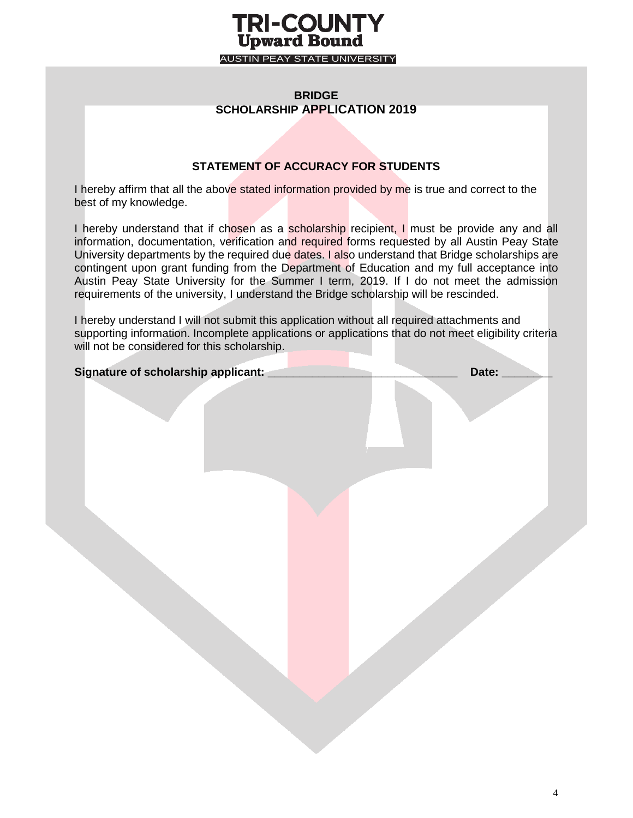#### **TRI-COUNTY Upward Bound** AUSTIN PEAY STATE UNIVERSITY

#### **BRIDGE SCHOLARSHIP APPLICATION 2019**

#### **STATEMENT OF ACCURACY FOR STUDENTS**

I hereby affirm that all the above stated information provided by me is true and correct to the best of my knowledge.

I hereby understand that if chosen as a scholarship recipient, I must be provide any and all information, documentation, verification and required forms requested by all Austin Peay State University departments by the required due dates. I also understand that Bridge scholarships are contingent upon grant funding from the Department of Education and my full acceptance into Austin Peay State University for the Summer I term, 2019. If I do not meet the admission requirements of the university, I understand the Bridge scholarship will be rescinded.

I hereby understand I will not submit this application without all required attachments and supporting information. Incomplete applications or applications that do not meet eligibility criteria will not be considered for this scholarship.

| Signature of scholarship applicant: __ | Date: $\qquad \qquad$ |
|----------------------------------------|-----------------------|
|                                        |                       |
|                                        |                       |
|                                        |                       |
|                                        |                       |